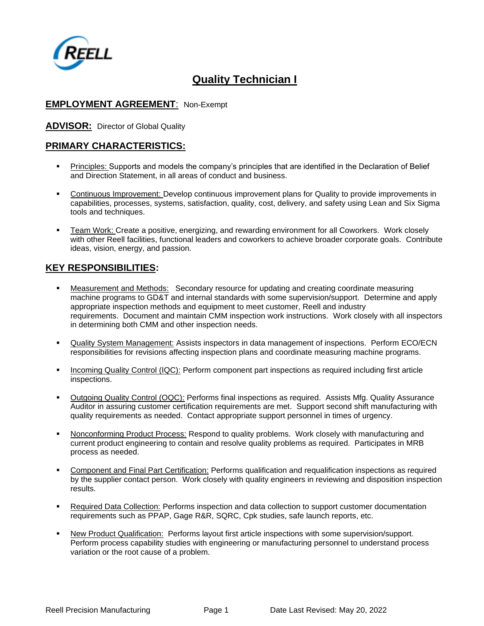

# **Quality Technician I**

#### **EMPLOYMENT AGREEMENT**: Non-Exempt

#### **ADVISOR:** Director of Global Quality

#### **PRIMARY CHARACTERISTICS:**

- Principles: Supports and models the company's principles that are identified in the Declaration of Belief and Direction Statement, in all areas of conduct and business.
- **•** Continuous Improvement: Develop continuous improvement plans for Quality to provide improvements in capabilities, processes, systems, satisfaction, quality, cost, delivery, and safety using Lean and Six Sigma tools and techniques.
- **Exam Work: Create a positive, energizing, and rewarding environment for all Coworkers. Work closely** with other Reell facilities, functional leaders and coworkers to achieve broader corporate goals. Contribute ideas, vision, energy, and passion.

#### **KEY RESPONSIBILITIES:**

- Measurement and Methods: Secondary resource for updating and creating coordinate measuring machine programs to GD&T and internal standards with some supervision/support. Determine and apply appropriate inspection methods and equipment to meet customer, Reell and industry requirements. Document and maintain CMM inspection work instructions. Work closely with all inspectors in determining both CMM and other inspection needs.
- **Quality System Management:** Assists inspectors in data management of inspections. Perform ECO/ECN responsibilities for revisions affecting inspection plans and coordinate measuring machine programs.
- Incoming Quality Control (IQC): Perform component part inspections as required including first article inspections.
- Outgoing Quality Control (OQC): Performs final inspections as required. Assists Mfg. Quality Assurance Auditor in assuring customer certification requirements are met. Support second shift manufacturing with quality requirements as needed. Contact appropriate support personnel in times of urgency.
- Nonconforming Product Process: Respond to quality problems. Work closely with manufacturing and current product engineering to contain and resolve quality problems as required. Participates in MRB process as needed.
- Component and Final Part Certification: Performs qualification and requalification inspections as required by the supplier contact person. Work closely with quality engineers in reviewing and disposition inspection results.
- Required Data Collection: Performs inspection and data collection to support customer documentation requirements such as PPAP, Gage R&R, SQRC, Cpk studies, safe launch reports, etc.
- **New Product Qualification: Performs layout first article inspections with some supervision/support.** Perform process capability studies with engineering or manufacturing personnel to understand process variation or the root cause of a problem.